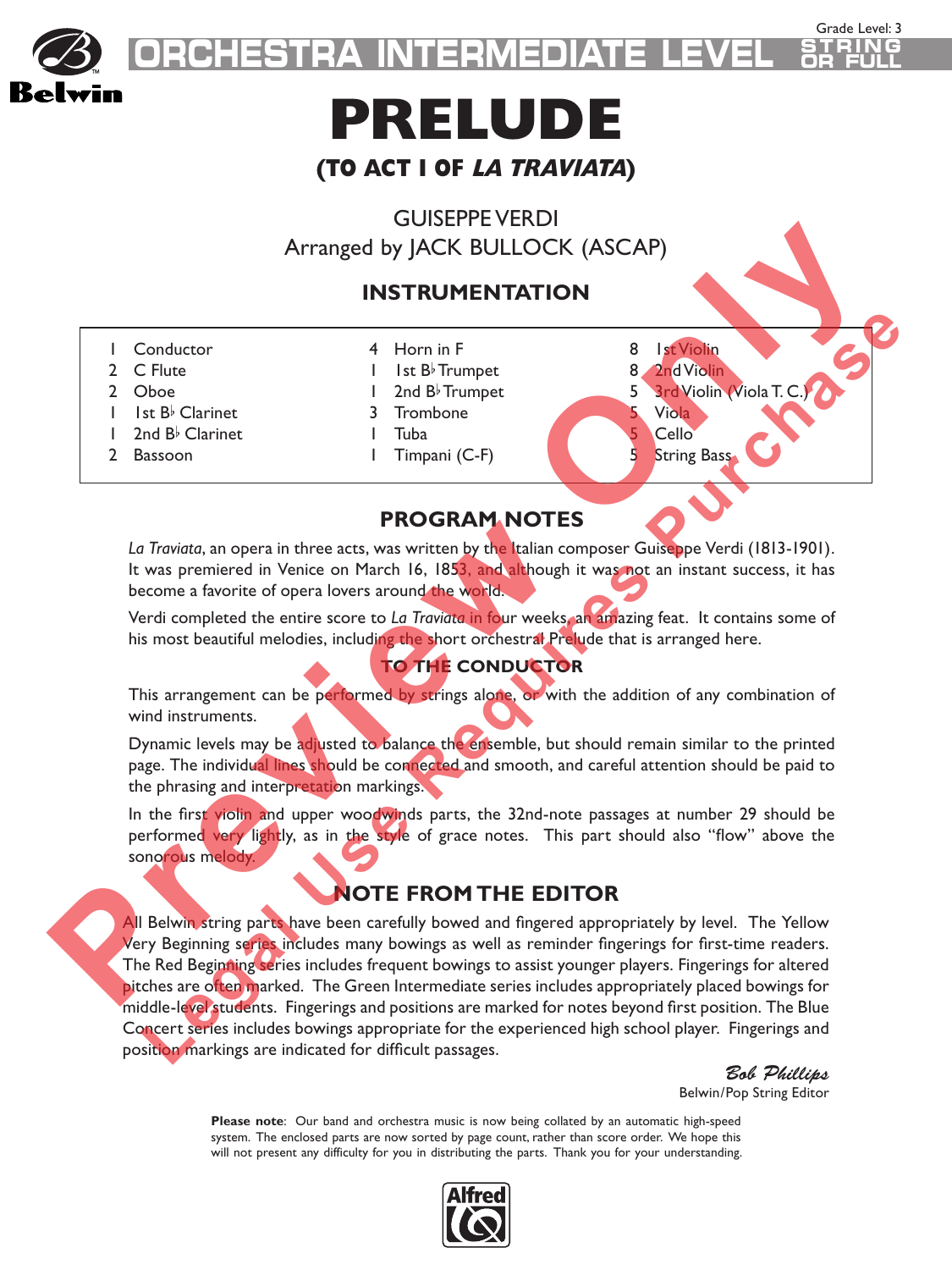

**PRELUDE**

**ORCHESTRA INTERMEDIATE LEVEL**

# **(TO ACT I OF LA TRAVIATA)**

GUISEPPE VERDI Arranged by JACK BULLOCK (ASCAP)

### **INSTRUMENTATION**

1 Conductor

 1 1st B Clarinet 1 2nd B Clarinet

 2 C Flute 2 Oboe

2 Bassoon

- 4 Horn in F
	- $1$  Ist B<sub>b</sub> Trumpet
	- $1$  2nd  $B\overline{b}$  Trumpet
	- 3 Trombone
		- 1 Tuba
		- 1 Timpani (C-F)
- 8 1st Violin 8 2nd Violin
- 5 3rd Violin (Viola T. C.)

Grade Level: 3 **S T R ING OR FULL** 

- **Viola Cello**
- **String Bass**

### **PROGRAM NOTES**

*La Traviata*, an opera in three acts, was written by the Italian composer Guiseppe Verdi (1813-1901). It was premiered in Venice on March 16, 1853, and although it was not an instant success, it has become a favorite of opera lovers around the world.

Verdi completed the entire score to *La Traviata* in four weeks, an amazing feat. It contains some of his most beautiful melodies, including the short orchestral Prelude that is arranged here.

#### **TO THE CONDUCTOR**

This arrangement can be performed by strings alone, or with the addition of any combination of wind instruments.

Dynamic levels may be adjusted to balance the ensemble, but should remain similar to the printed page. The individual lines should be connected and smooth, and careful attention should be paid to the phrasing and interpretation markings.

In the first violin and upper woodwinds parts, the 32nd-note passages at number 29 should be performed very lightly, as in the style of grace notes. This part should also "flow" above the sonorous melody.

# **NOTE FROM THE EDITOR**

All Belwin string parts have been carefully bowed and fingered appropriately by level. The Yellow Very Beginning series includes many bowings as well as reminder fingerings for first-time readers. The Red Beginning series includes frequent bowings to assist younger players. Fingerings for altered pitches are often marked. The Green Intermediate series includes appropriately placed bowings for middle-level students. Fingerings and positions are marked for notes beyond first position. The Blue Concert series includes bowings appropriate for the experienced high school player. Fingerings and position markings are indicated for difficult passages. **Preview of the state of the state of the state of the state of the state of the state of the state of the state of the state of the state of the state of the state of the state of the state of the state of the state of th** Conductor and the state of the state of the state of the state of the state of the state of the state of the state of the state of the state of the state of the state of the state of the state of the state of the state of

*Bob Phillips*  Belwin/Pop String Editor

**Please note**: Our band and orchestra music is now being collated by an automatic high-speed system. The enclosed parts are now sorted by page count, rather than score order. We hope this will not present any difficulty for you in distributing the parts. Thank you for your understanding.

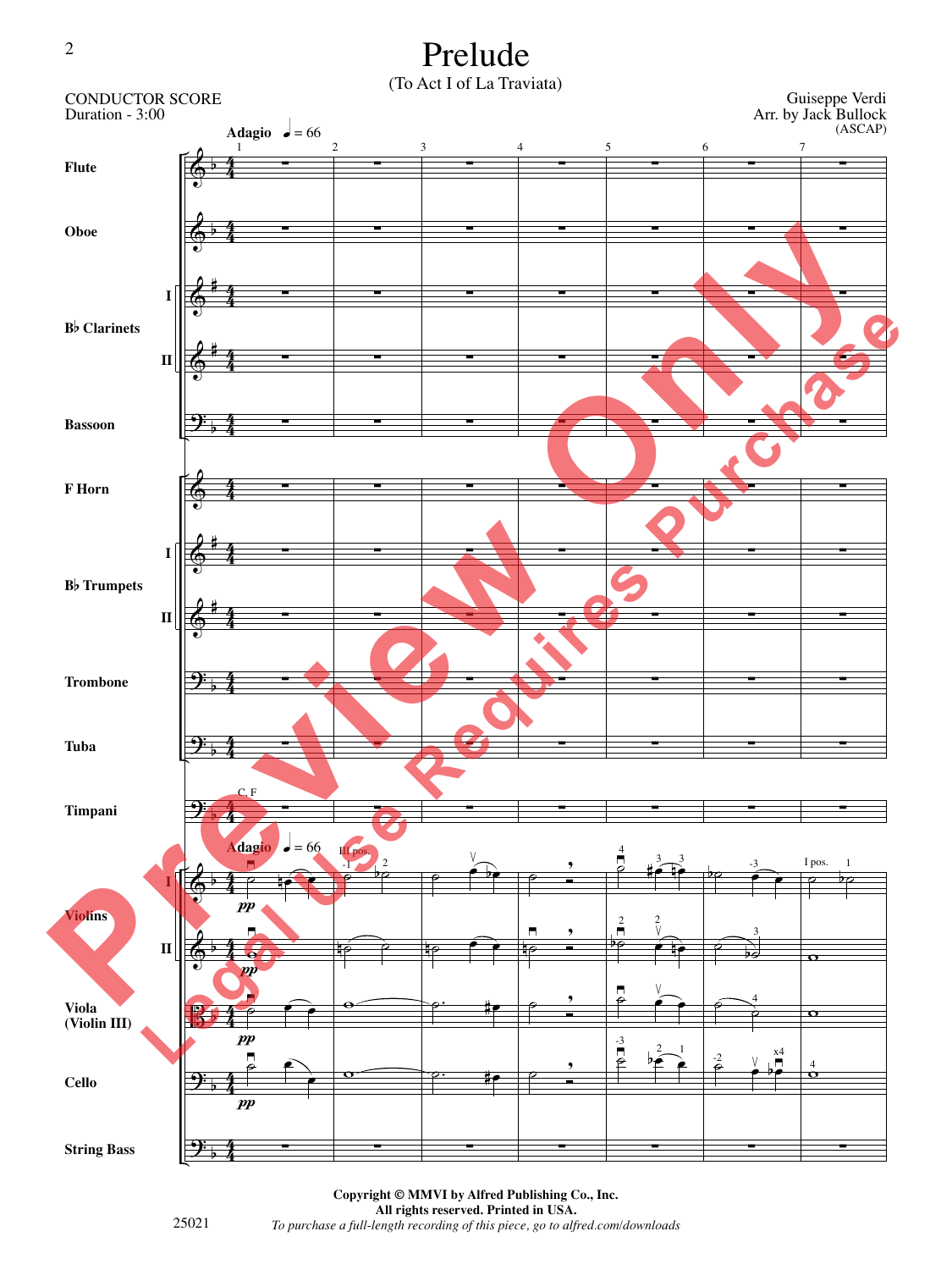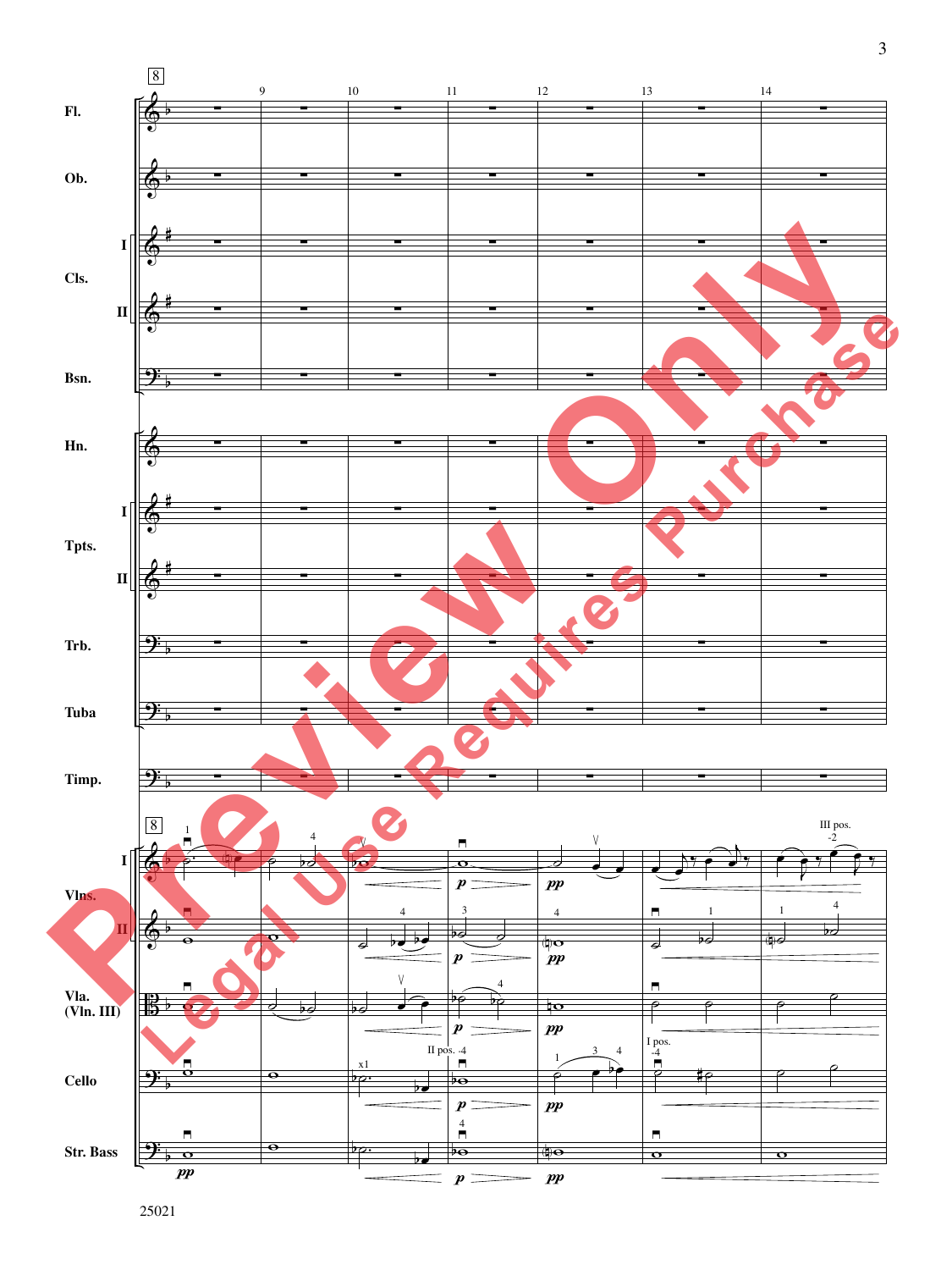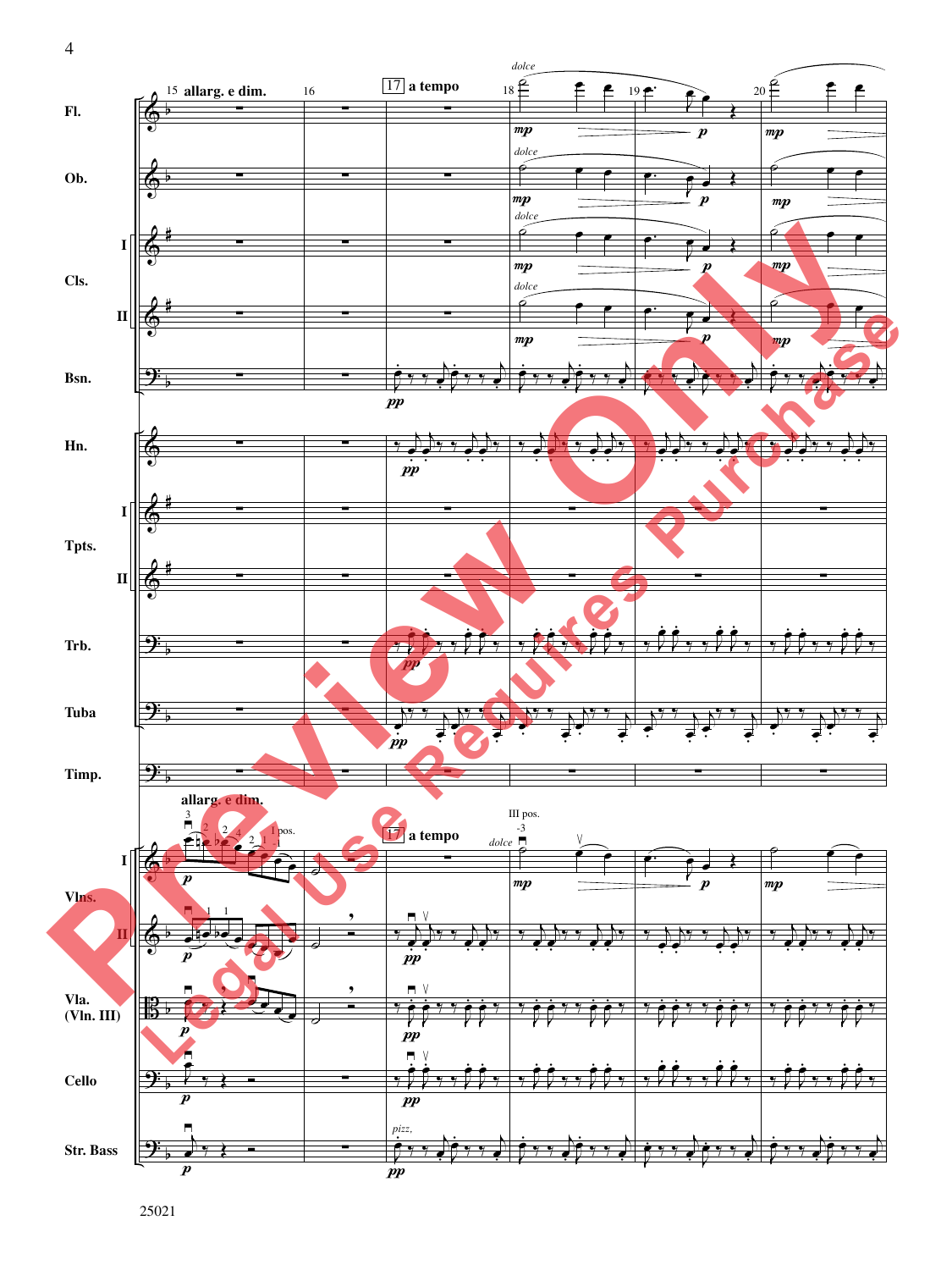

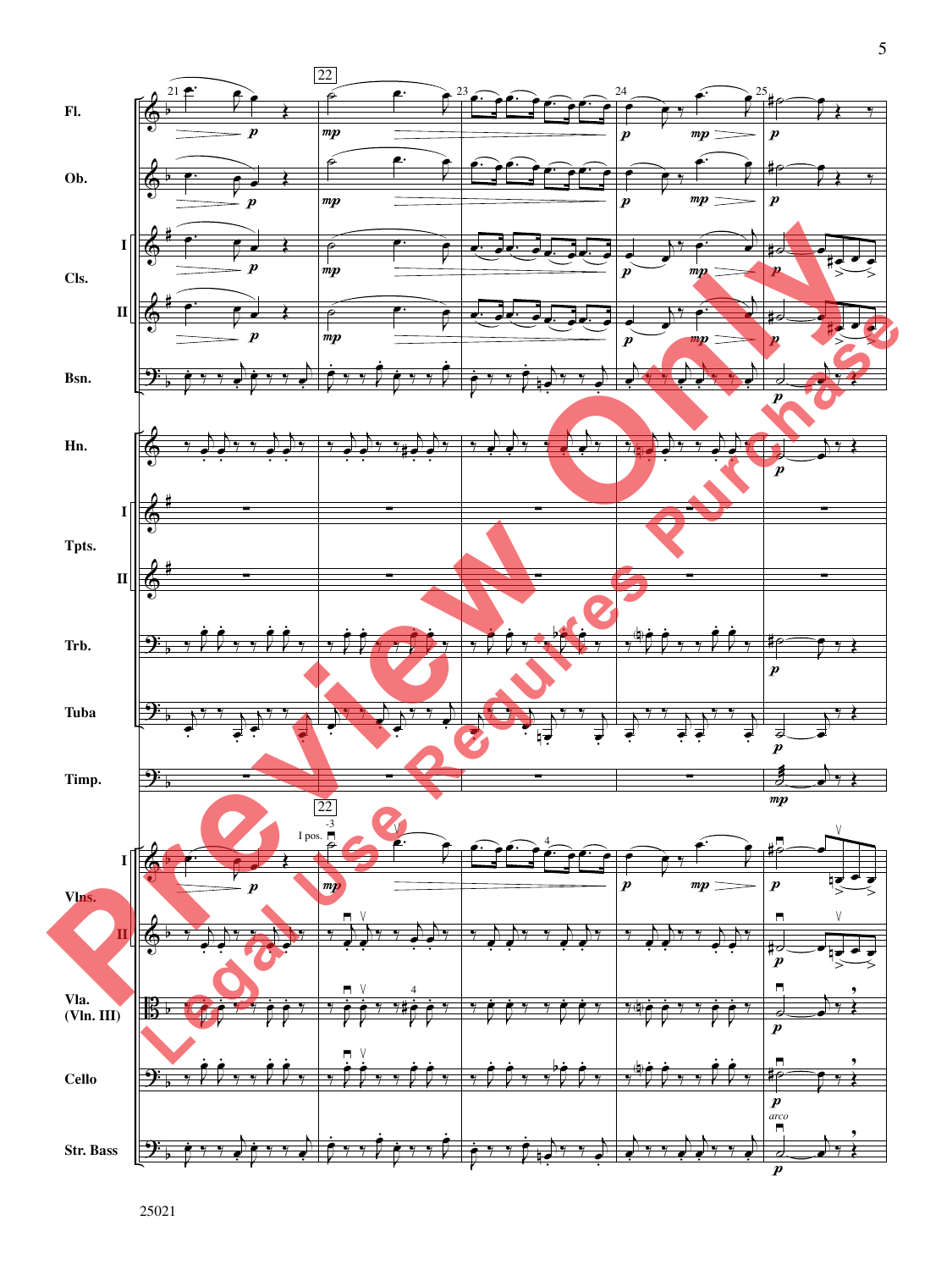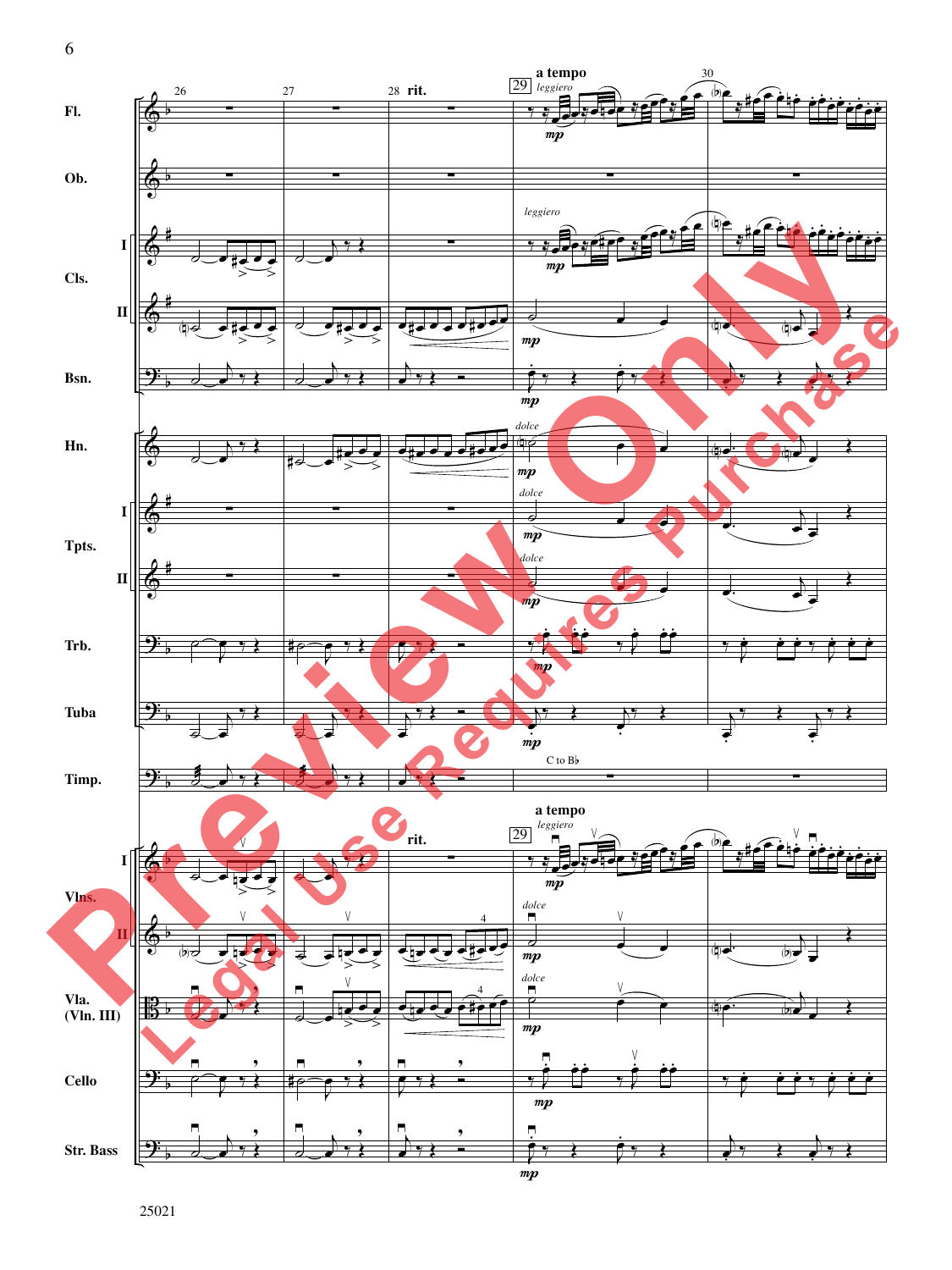

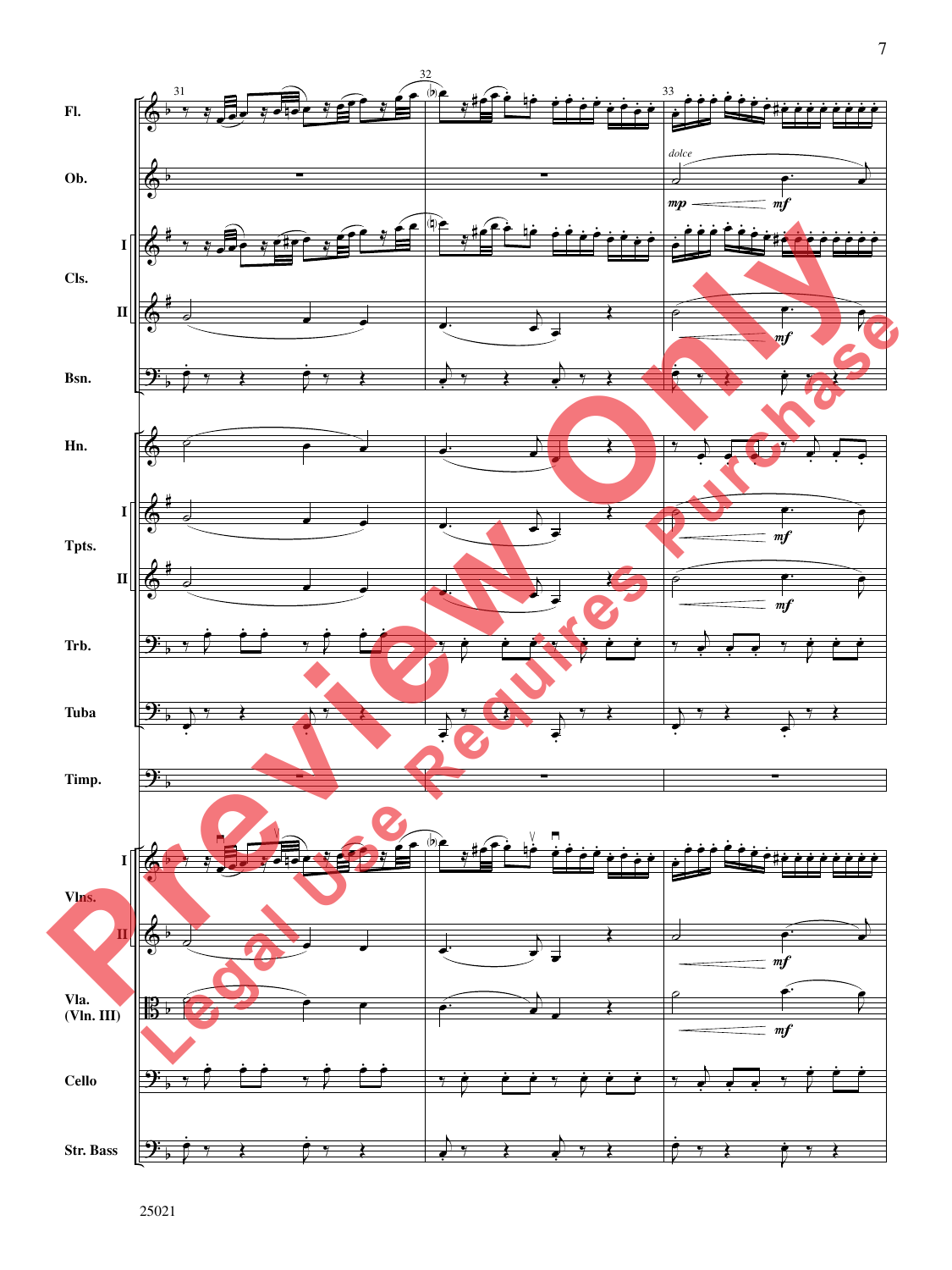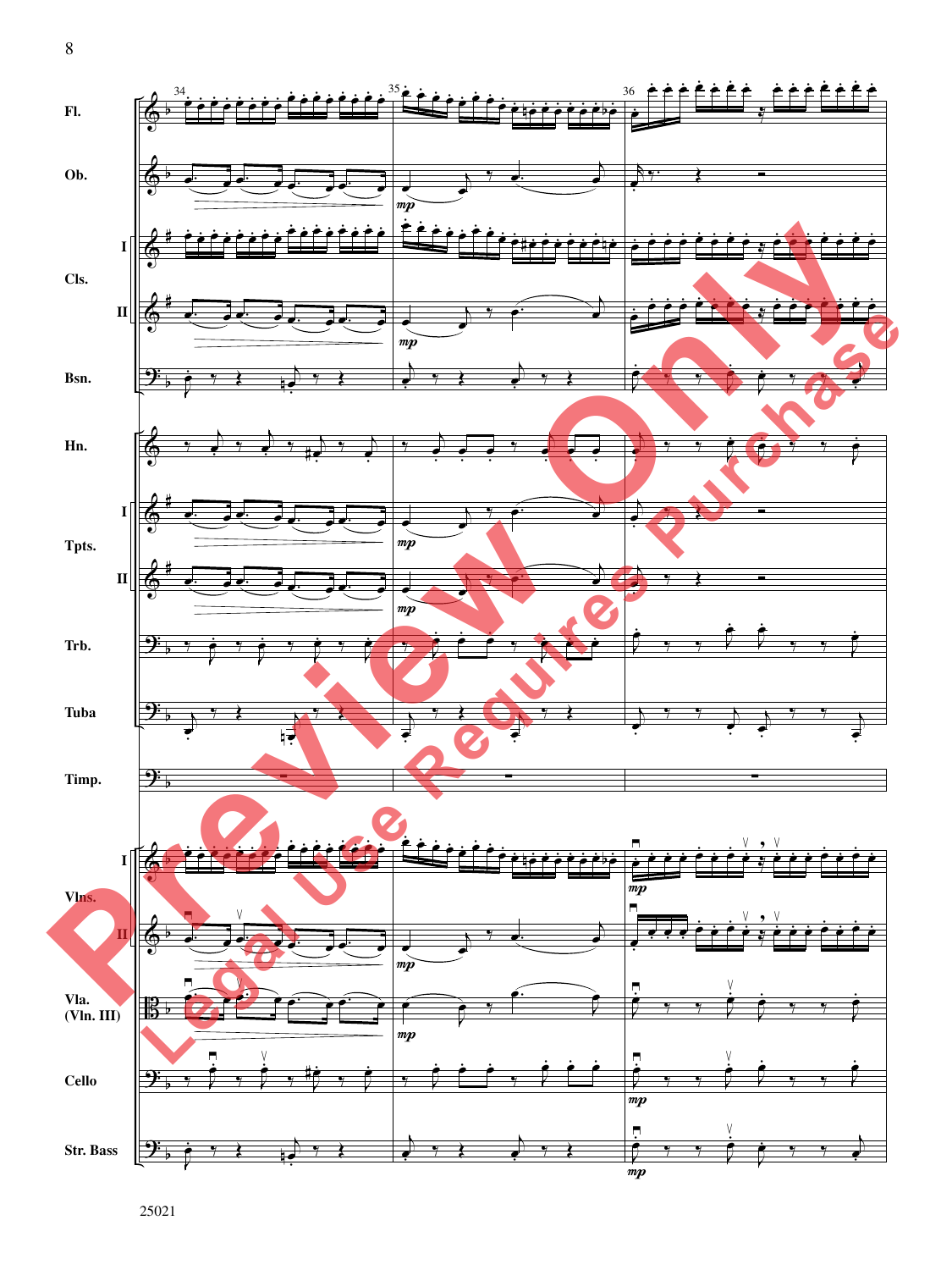

 $\,8\,$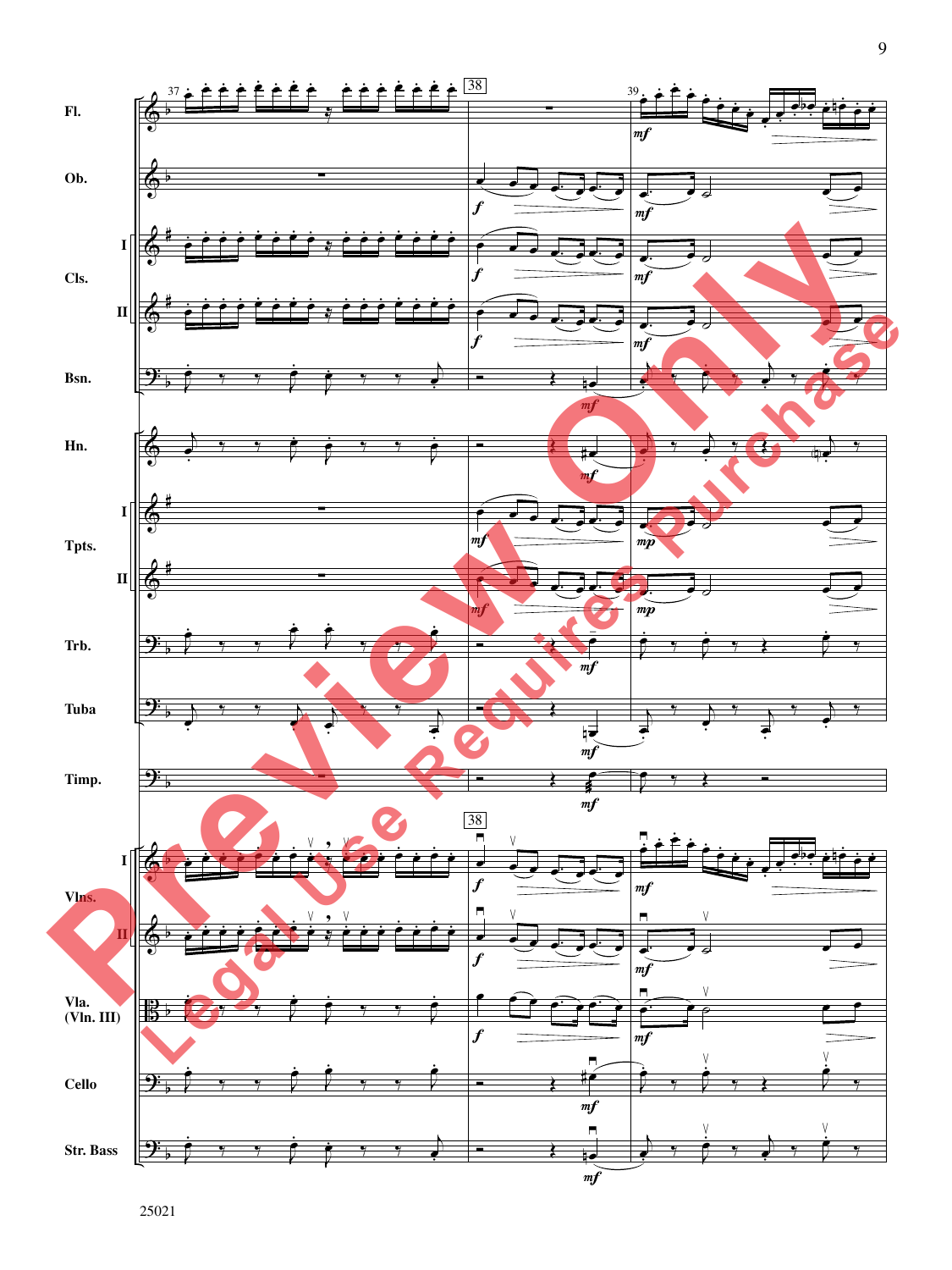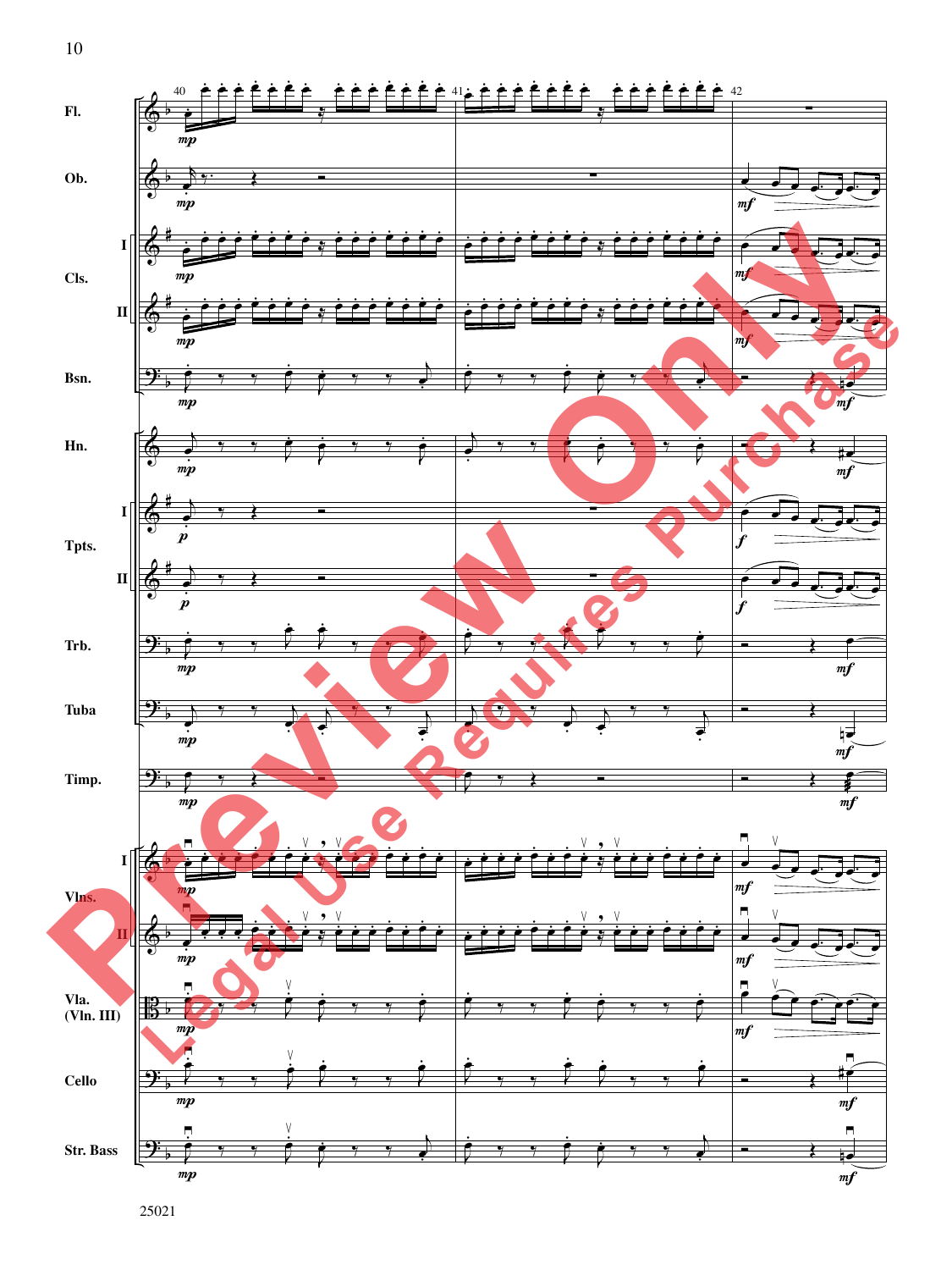

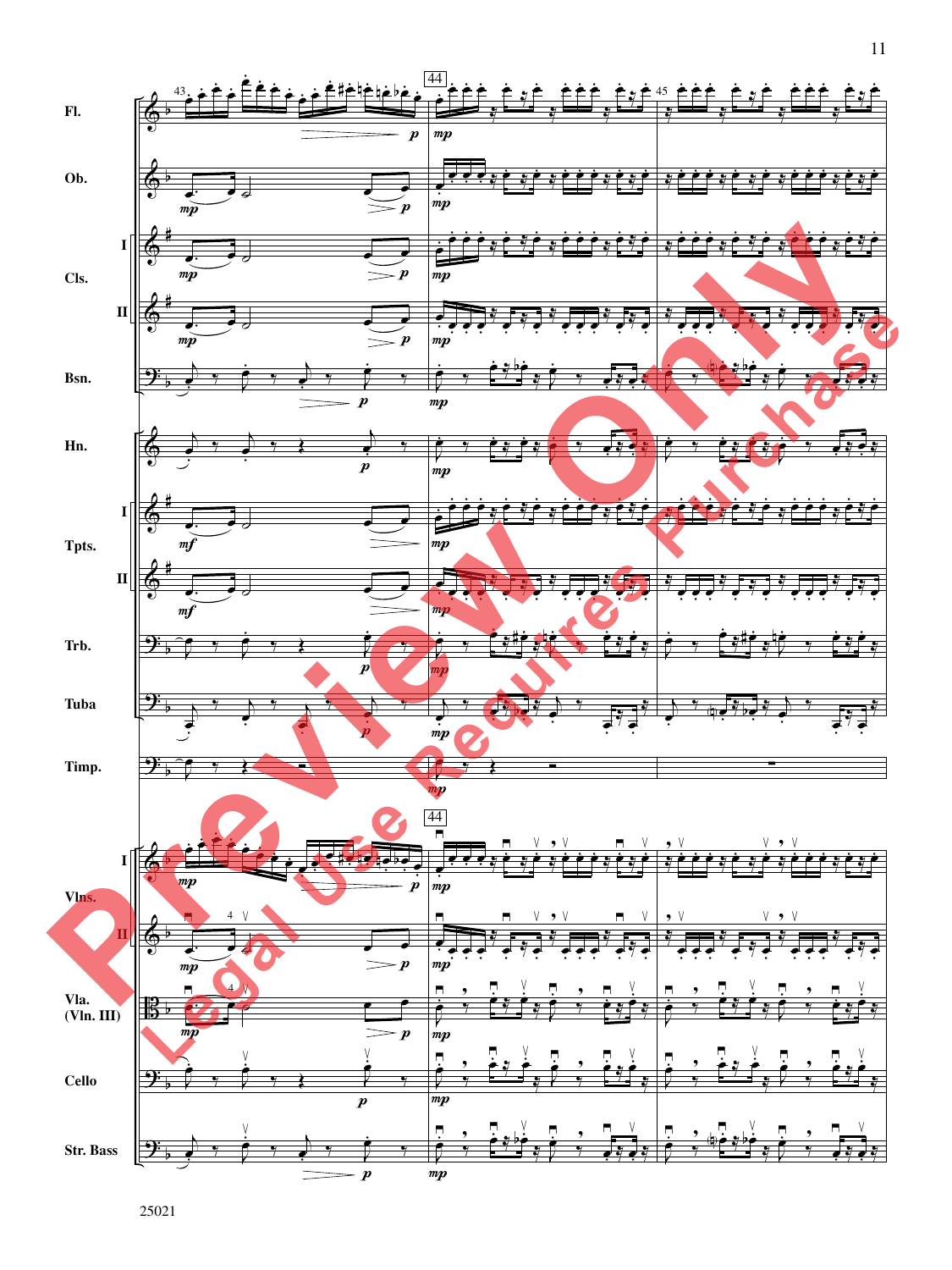